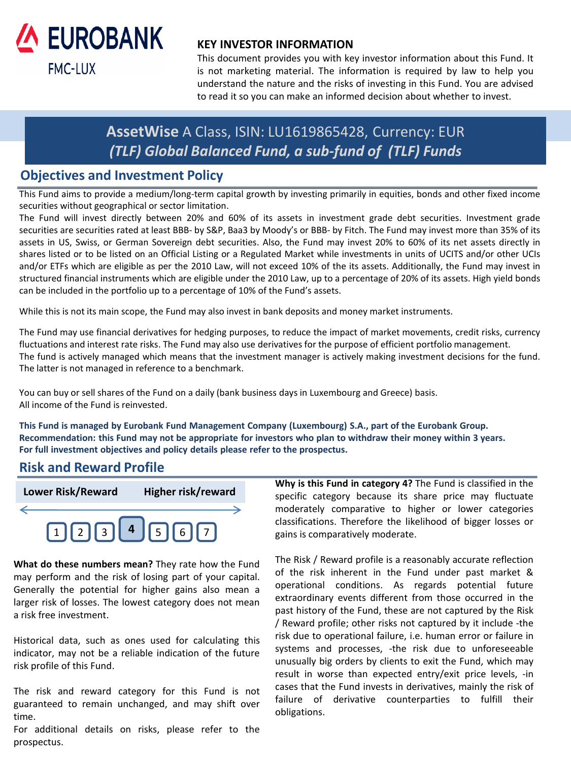

### **KEY INVESTOR INFORMATION**

This document provides you with key investor information about this Fund. It is not marketing material. The information is required by law to help you understand the nature and the risks of investing in this Fund. You are advised to read it so you can make an informed decision about whether to invest.

# **AssetWise** A Class, ISIN: LU1619865428, Currency: EUR *(TLF) Global Balanced Fund, a sub-fund of (TLF) Funds*

## **Objectives and Investment Policy**

This Fund aims to provide a medium/long-term capital growth by investing primarily in equities, bonds and other fixed income securities without geographical or sector limitation.

The Fund will invest directly between 20% and 60% of its assets in investment grade debt securities. Investment grade securities are securities rated at least BBB- by S&P, Baa3 by Moody's or BBB- by Fitch. The Fund may invest more than 35% of its assets in US, Swiss, or German Sovereign debt securities. Also, the Fund may invest 20% to 60% of its net assets directly in shares listed or to be listed on an Official Listing or a Regulated Market while investments in units of UCITS and/or other UCIs and/or ETFs which are eligible as per the 2010 Law, will not exceed 10% of the its assets. Additionally, the Fund may invest in structured financial instruments which are eligible under the 2010 Law, up to a percentage of 20% of its assets. High yield bonds can be included in the portfolio up to a percentage of 10% of the Fund's assets.

While this is not its main scope, the Fund may also invest in bank deposits and money market instruments.

The Fund may use financial derivatives for hedging purposes, to reduce the impact of market movements, credit risks, currency fluctuations and interest rate risks. The Fund may also use derivatives for the purpose of efficient portfolio management. The fund is actively managed which means that the investment manager is actively making investment decisions for the fund. The latter is not managed in reference to a benchmark.

You can buy or sell shares of the Fund on a daily (bank business days in Luxembourg and Greece) basis. All income of the Fund is reinvested.

**This Fund is managed by Eurobank Fund Management Company (Luxembourg) S.A., part of the Eurobank Group.** Recommendation: this Fund may not be appropriate for investors who plan to withdraw their money within 3 years. **For full investment objectives and policy details please refer to the prospectus.**

## **Risk and Reward Profile**



**What do these numbers mean?** They rate how the Fund may perform and the risk of losing part of your capital. Generally the potential for higher gains also mean a larger risk of losses. The lowest category does not mean a risk free investment.

Historical data, such as ones used for calculating this indicator, may not be a reliable indication of the future risk profile of this Fund.

The risk and reward category for this Fund is not guaranteed to remain unchanged, and may shift over time.

For additional details on risks, please refer to the prospectus.

**Why is this Fund in category 4?** The Fund is classified in the specific category because its share price may fluctuate moderately comparative to higher or lower categories classifications. Therefore the likelihood of bigger losses or gains is comparatively moderate.

The Risk / Reward profile is a reasonably accurate reflection of the risk inherent in the Fund under past market & operational conditions. As regards potential future extraordinary events different from those occurred in the past history of the Fund, these are not captured by the Risk / Reward profile; other risks not captured by it include -the risk due to operational failure, i.e. human error or failure in systems and processes, -the risk due to unforeseeable unusually big orders by clients to exit the Fund, which may result in worse than expected entry/exit price levels, -in cases that the Fund invests in derivatives, mainly the risk of failure of derivative counterparties to fulfill their obligations.